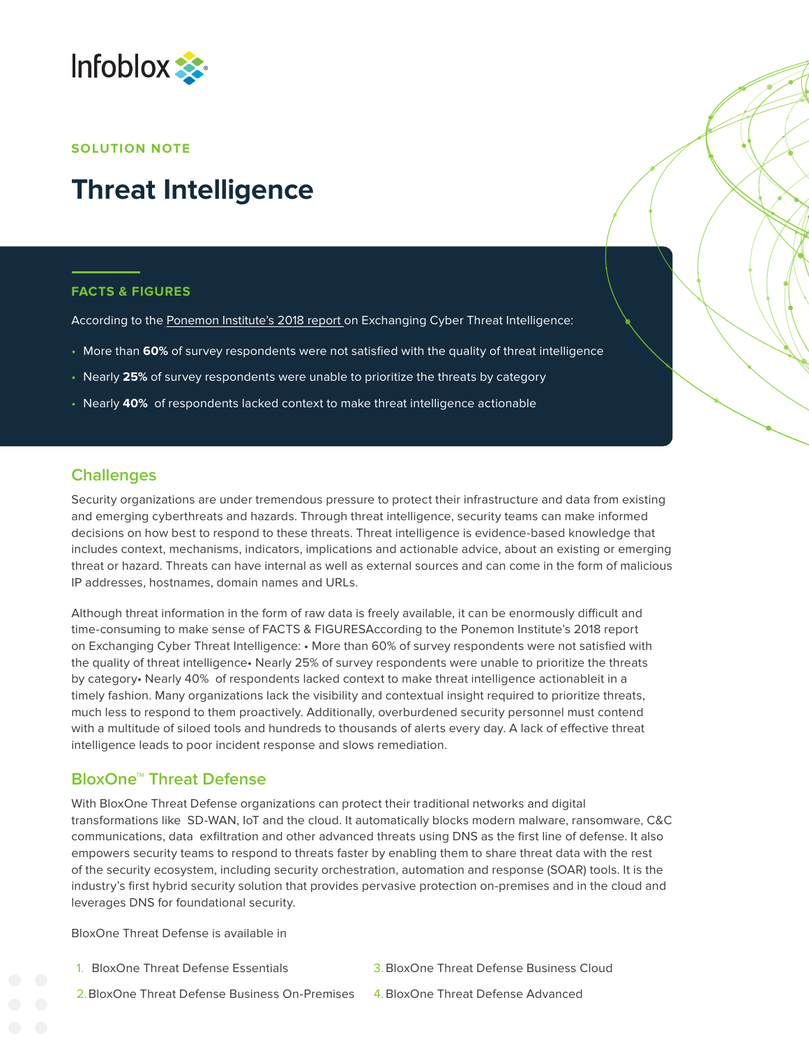

#### **SOLUTION NOTE**

# **Threat Intelligence**

#### **FACTS & FIGURES**

According to the [Ponemon Institute's 2018 report](https://www.infoblox.com/wp-content/uploads/infoblox-white-paper-ponemon-infoblox-2018-final-report.pdf) on Exchanging Cyber Threat Intelligence:

- More than **60%** of survey respondents were not satisfied with the quality of threat intelligence
- Nearly **25%** of survey respondents were unable to prioritize the threats by category
- Nearly **40%** of respondents lacked context to make threat intelligence actionable

### **Challenges**

Security organizations are under tremendous pressure to protect their infrastructure and data from existing and emerging cyberthreats and hazards. Through threat intelligence, security teams can make informed decisions on how best to respond to these threats. Threat intelligence is evidence-based knowledge that includes context, mechanisms, indicators, implications and actionable advice, about an existing or emerging threat or hazard. Threats can have internal as well as external sources and can come in the form of malicious IP addresses, hostnames, domain names and URLs.

Although threat information in the form of raw data is freely available, it can be enormously difficult and time-consuming to make sense of FACTS & FIGURESAccording to the Ponemon Institute's 2018 report on Exchanging Cyber Threat Intelligence: • More than 60% of survey respondents were not satisfied with the quality of threat intelligence• Nearly 25% of survey respondents were unable to prioritize the threats by category• Nearly 40% of respondents lacked context to make threat intelligence actionableit in a timely fashion. Many organizations lack the visibility and contextual insight required to prioritize threats, much less to respond to them proactively. Additionally, overburdened security personnel must contend with a multitude of siloed tools and hundreds to thousands of alerts every day. A lack of effective threat intelligence leads to poor incident response and slows remediation.

### **BloxOne™ Threat Defense**

With BloxOne Threat Defense organizations can protect their traditional networks and digital transformations like SD-WAN, IoT and the cloud. It automatically blocks modern malware, ransomware, C&C communications, data exfiltration and other advanced threats using DNS as the first line of defense. It also empowers security teams to respond to threats faster by enabling them to share threat data with the rest of the security ecosystem, including security orchestration, automation and response (SOAR) tools. It is the industry's first hybrid security solution that provides pervasive protection on-premises and in the cloud and leverages DNS for foundational security.

BloxOne Threat Defense is available in

1. BloxOne Threat Defense Essentials

3.BloxOne Threat Defense Business Cloud

- 2.BloxOne Threat Defense Business On-Premises
- 4.BloxOne Threat Defense Advanced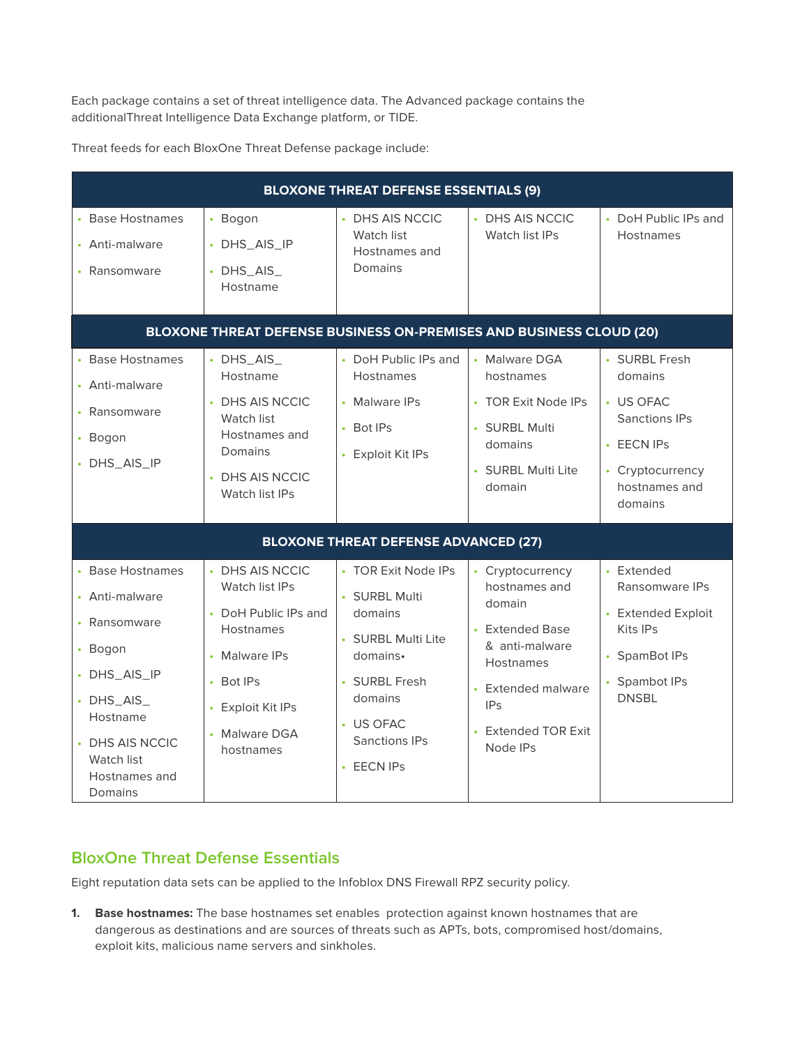Each package contains a set of threat intelligence data. The Advanced package contains the additionalThreat Intelligence Data Exchange platform, or TIDE.

Threat feeds for each BloxOne Threat Defense package include:

| <b>BLOXONE THREAT DEFENSE ESSENTIALS (9)</b>                                                                                                                               |                                                                                                                                                                |                                                                                                                                                                 |                                                                                                                                                                                                             |                                                                                                                             |
|----------------------------------------------------------------------------------------------------------------------------------------------------------------------------|----------------------------------------------------------------------------------------------------------------------------------------------------------------|-----------------------------------------------------------------------------------------------------------------------------------------------------------------|-------------------------------------------------------------------------------------------------------------------------------------------------------------------------------------------------------------|-----------------------------------------------------------------------------------------------------------------------------|
| • Base Hostnames<br>• Anti-malware<br>• Ransomware                                                                                                                         | • Bogon<br>• DHS_AIS_IP<br>$\cdot$ DHS_AIS_<br>Hostname                                                                                                        | • DHS AIS NCCIC<br>Watch list<br>Hostnames and<br>Domains                                                                                                       | • DHS AIS NCCIC<br>Watch list IPs                                                                                                                                                                           | • DoH Public IPs and<br><b>Hostnames</b>                                                                                    |
| BLOXONE THREAT DEFENSE BUSINESS ON-PREMISES AND BUSINESS CLOUD (20)                                                                                                        |                                                                                                                                                                |                                                                                                                                                                 |                                                                                                                                                                                                             |                                                                                                                             |
| • Base Hostnames<br>• Anti-malware<br>• Ransomware<br>• Bogon<br>• DHS_AIS_IP                                                                                              | $\cdot$ DHS_AIS_<br>Hostname<br>• DHS AIS NCCIC<br>Watch list<br>Hostnames and<br>Domains<br>• DHS AIS NCCIC<br>Watch list IPs                                 | • DoH Public IPs and<br><b>Hostnames</b><br>• Malware IPs<br>• Bot IPs<br>• Exploit Kit IPs                                                                     | • Malware DGA<br>hostnames<br>• TOR Exit Node IPs<br>· SURBL Multi<br>domains<br>• SURBL Multi Lite<br>domain                                                                                               | • SURBL Fresh<br>domains<br>• US OFAC<br><b>Sanctions IPs</b><br>• EECN IPs<br>• Cryptocurrency<br>hostnames and<br>domains |
| <b>BLOXONE THREAT DEFENSE ADVANCED (27)</b>                                                                                                                                |                                                                                                                                                                |                                                                                                                                                                 |                                                                                                                                                                                                             |                                                                                                                             |
| • Base Hostnames<br>• Anti-malware<br>• Ransomware<br>• Bogon<br>• DHS_AIS_IP<br>$\cdot$ DHS_AIS_<br>Hostname<br>• DHS AIS NCCIC<br>Watch list<br>Hostnames and<br>Domains | • DHS AIS NCCIC<br>Watch list IPs<br>• DoH Public IPs and<br><b>Hostnames</b><br>• Malware IPs<br>• Bot IPs<br>• Exploit Kit IPs<br>• Malware DGA<br>hostnames | • TOR Exit Node IPs<br>· SURBL Multi<br>domains<br>• SURBL Multi Lite<br>domains.<br>• SURBL Fresh<br>domains<br>• US OFAC<br>Sanctions IPs<br>$\cdot$ EECN IPs | • Cryptocurrency<br>hostnames and<br>domain<br>Extended Base<br>& anti-malware<br><b>Hostnames</b><br><b>Extended malware</b><br>$\ddot{\phantom{0}}$<br><b>IPs</b><br><b>Extended TOR Exit</b><br>Node IPs | • Extended<br>Ransomware IPs<br>• Extended Exploit<br>Kits IPs<br>• SpamBot IPs<br>• Spambot IPs<br><b>DNSBL</b>            |

## **BloxOne Threat Defense Essentials**

Eight reputation data sets can be applied to the Infoblox DNS Firewall RPZ security policy.

**1. Base hostnames:** The base hostnames set enables protection against known hostnames that are dangerous as destinations and are sources of threats such as APTs, bots, compromised host/domains, exploit kits, malicious name servers and sinkholes.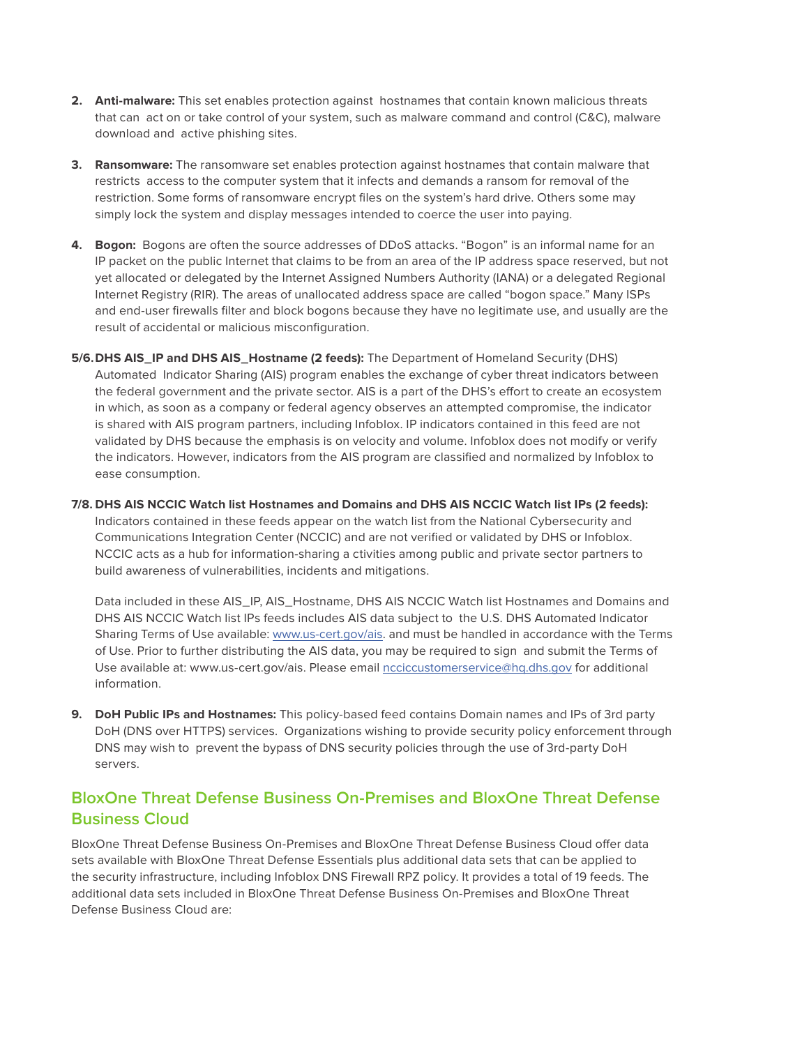- **2. Anti-malware:** This set enables protection against hostnames that contain known malicious threats that can act on or take control of your system, such as malware command and control (C&C), malware download and active phishing sites.
- **3. Ransomware:** The ransomware set enables protection against hostnames that contain malware that restricts access to the computer system that it infects and demands a ransom for removal of the restriction. Some forms of ransomware encrypt files on the system's hard drive. Others some may simply lock the system and display messages intended to coerce the user into paying.
- **4. Bogon:** Bogons are often the source addresses of DDoS attacks. "Bogon" is an informal name for an IP packet on the public Internet that claims to be from an area of the IP address space reserved, but not yet allocated or delegated by the Internet Assigned Numbers Authority (IANA) or a delegated Regional Internet Registry (RIR). The areas of unallocated address space are called "bogon space." Many ISPs and end-user firewalls filter and block bogons because they have no legitimate use, and usually are the result of accidental or malicious misconfiguration.
- **5/6.DHS AIS\_IP and DHS AIS\_Hostname (2 feeds):** The Department of Homeland Security (DHS) Automated Indicator Sharing (AIS) program enables the exchange of cyber threat indicators between the federal government and the private sector. AIS is a part of the DHS's effort to create an ecosystem in which, as soon as a company or federal agency observes an attempted compromise, the indicator is shared with AIS program partners, including Infoblox. IP indicators contained in this feed are not validated by DHS because the emphasis is on velocity and volume. Infoblox does not modify or verify the indicators. However, indicators from the AIS program are classified and normalized by Infoblox to ease consumption.
- **7/8. DHS AIS NCCIC Watch list Hostnames and Domains and DHS AIS NCCIC Watch list IPs (2 feeds):** Indicators contained in these feeds appear on the watch list from the National Cybersecurity and Communications Integration Center (NCCIC) and are not verified or validated by DHS or Infoblox. NCCIC acts as a hub for information-sharing a ctivities among public and private sector partners to build awareness of vulnerabilities, incidents and mitigations.

Data included in these AIS IP, AIS Hostname, DHS AIS NCCIC Watch list Hostnames and Domains and DHS AIS NCCIC Watch list IPs feeds includes AIS data subject to the U.S. DHS Automated Indicator Sharing Terms of Use available: [www.us-cert.gov/ais.](http://www.us-cert.gov/ais) and must be handled in accordance with the Terms of Use. Prior to further distributing the AIS data, you may be required to sign and submit the Terms of Use available at: www.us-cert.gov/ais. Please email [ncciccustomerservice@hq.dhs.gov](mailto:ncciccustomerservice%40hq.dhs.gov?subject=) for additional information.

**9. DoH Public IPs and Hostnames:** This policy-based feed contains Domain names and IPs of 3rd party DoH (DNS over HTTPS) services. Organizations wishing to provide security policy enforcement through DNS may wish to prevent the bypass of DNS security policies through the use of 3rd-party DoH servers.

# **BloxOne Threat Defense Business On-Premises and BloxOne Threat Defense Business Cloud**

BloxOne Threat Defense Business On-Premises and BloxOne Threat Defense Business Cloud offer data sets available with BloxOne Threat Defense Essentials plus additional data sets that can be applied to the security infrastructure, including Infoblox DNS Firewall RPZ policy. It provides a total of 19 feeds. The additional data sets included in BloxOne Threat Defense Business On-Premises and BloxOne Threat Defense Business Cloud are: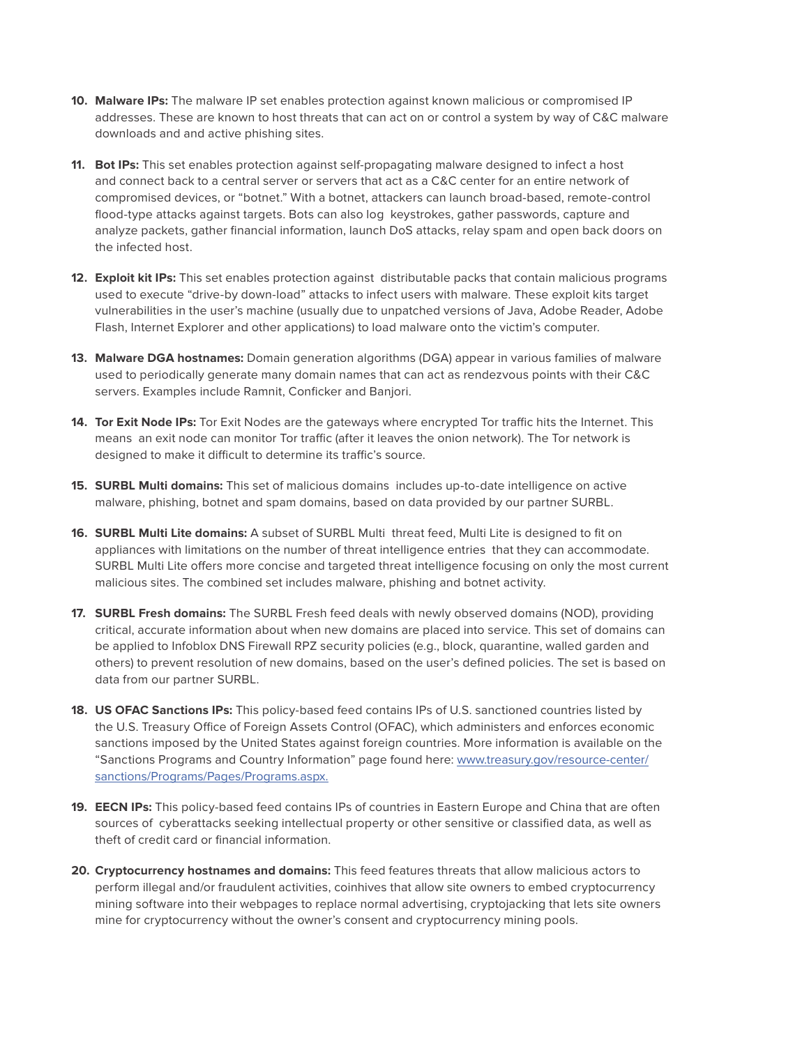- **10. Malware IPs:** The malware IP set enables protection against known malicious or compromised IP addresses. These are known to host threats that can act on or control a system by way of C&C malware downloads and and active phishing sites.
- **11. Bot IPs:** This set enables protection against self-propagating malware designed to infect a host and connect back to a central server or servers that act as a C&C center for an entire network of compromised devices, or "botnet." With a botnet, attackers can launch broad-based, remote-control flood-type attacks against targets. Bots can also log keystrokes, gather passwords, capture and analyze packets, gather financial information, launch DoS attacks, relay spam and open back doors on the infected host.
- **12. Exploit kit IPs:** This set enables protection against distributable packs that contain malicious programs used to execute "drive-by down-load" attacks to infect users with malware. These exploit kits target vulnerabilities in the user's machine (usually due to unpatched versions of Java, Adobe Reader, Adobe Flash, Internet Explorer and other applications) to load malware onto the victim's computer.
- **13. Malware DGA hostnames:** Domain generation algorithms (DGA) appear in various families of malware used to periodically generate many domain names that can act as rendezvous points with their C&C servers. Examples include Ramnit, Conficker and Banjori.
- **14. Tor Exit Node IPs:** Tor Exit Nodes are the gateways where encrypted Tor traffic hits the Internet. This means an exit node can monitor Tor traffic (after it leaves the onion network). The Tor network is designed to make it difficult to determine its traffic's source.
- **15. SURBL Multi domains:** This set of malicious domains includes up-to-date intelligence on active malware, phishing, botnet and spam domains, based on data provided by our partner SURBL.
- **16. SURBL Multi Lite domains:** A subset of SURBL Multi threat feed, Multi Lite is designed to fit on appliances with limitations on the number of threat intelligence entries that they can accommodate. SURBL Multi Lite offers more concise and targeted threat intelligence focusing on only the most current malicious sites. The combined set includes malware, phishing and botnet activity.
- **17. SURBL Fresh domains:** The SURBL Fresh feed deals with newly observed domains (NOD), providing critical, accurate information about when new domains are placed into service. This set of domains can be applied to Infoblox DNS Firewall RPZ security policies (e.g., block, quarantine, walled garden and others) to prevent resolution of new domains, based on the user's defined policies. The set is based on data from our partner SURBL.
- **18. US OFAC Sanctions IPs:** This policy-based feed contains IPs of U.S. sanctioned countries listed by the U.S. Treasury Office of Foreign Assets Control (OFAC), which administers and enforces economic sanctions imposed by the United States against foreign countries. More information is available on the "Sanctions Programs and Country Information" page found here: [www.treasury.gov/resource-center/](http://www.treasury.gov/resource-center/sanctions/Programs/Pages/Programs.aspx) [sanctions/Programs/Pages/Programs.aspx.](http://www.treasury.gov/resource-center/sanctions/Programs/Pages/Programs.aspx)
- **19. EECN IPs:** This policy-based feed contains IPs of countries in Eastern Europe and China that are often sources of cyberattacks seeking intellectual property or other sensitive or classified data, as well as theft of credit card or financial information.
- **20. Cryptocurrency hostnames and domains:** This feed features threats that allow malicious actors to perform illegal and/or fraudulent activities, coinhives that allow site owners to embed cryptocurrency mining software into their webpages to replace normal advertising, cryptojacking that lets site owners mine for cryptocurrency without the owner's consent and cryptocurrency mining pools.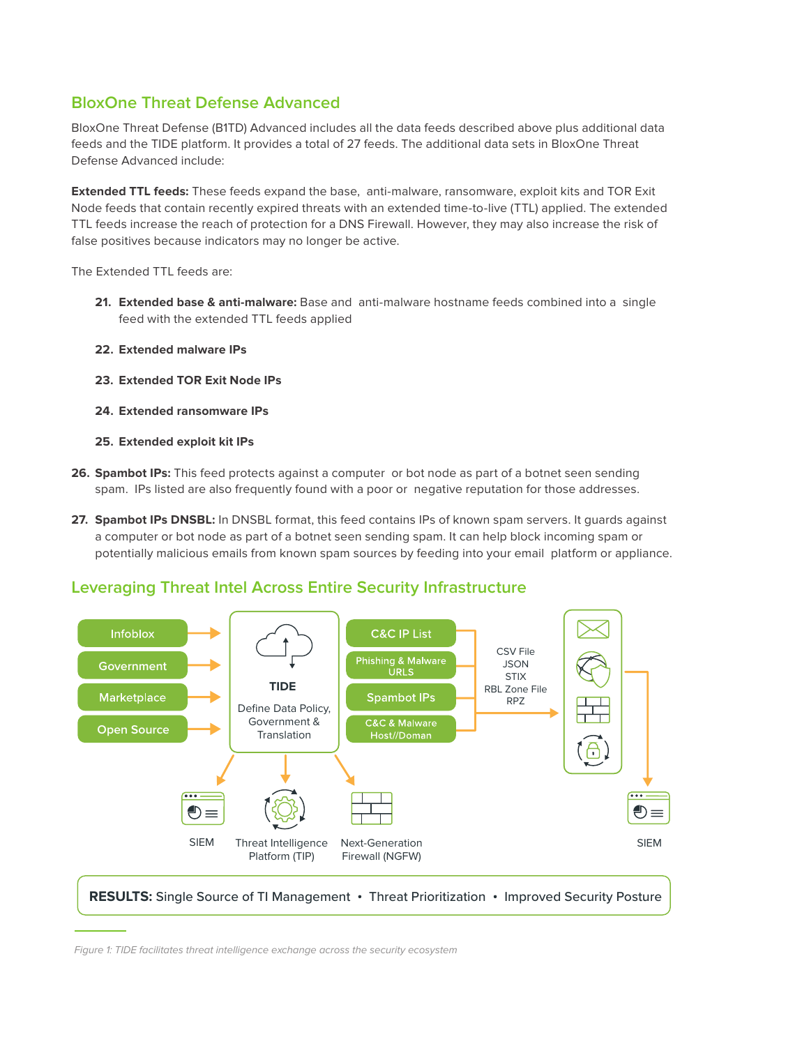# **BloxOne Threat Defense Advanced**

BloxOne Threat Defense (B1TD) Advanced includes all the data feeds described above plus additional data feeds and the TIDE platform. It provides a total of 27 feeds. The additional data sets in BloxOne Threat Defense Advanced include:

**Extended TTL feeds:** These feeds expand the base, anti-malware, ransomware, exploit kits and TOR Exit Node feeds that contain recently expired threats with an extended time-to-live (TTL) applied. The extended TTL feeds increase the reach of protection for a DNS Firewall. However, they may also increase the risk of false positives because indicators may no longer be active.

The Extended TTL feeds are:

- **21. Extended base & anti-malware:** Base and anti-malware hostname feeds combined into a single feed with the extended TTL feeds applied
- **22. Extended malware IPs**
- **23. Extended TOR Exit Node IPs**
- **24. Extended ransomware IPs**
- **25. Extended exploit kit IPs**
- **26. Spambot IPs:** This feed protects against a computer or bot node as part of a botnet seen sending spam. IPs listed are also frequently found with a poor or negative reputation for those addresses.
- **27. Spambot IPs DNSBL:** In DNSBL format, this feed contains IPs of known spam servers. It guards against a computer or bot node as part of a botnet seen sending spam. It can help block incoming spam or potentially malicious emails from known spam sources by feeding into your email platform or appliance.

### **Leveraging Threat Intel Across Entire Security Infrastructure**



Figure 1: TIDE facilitates threat intelligence exchange across the security ecosystem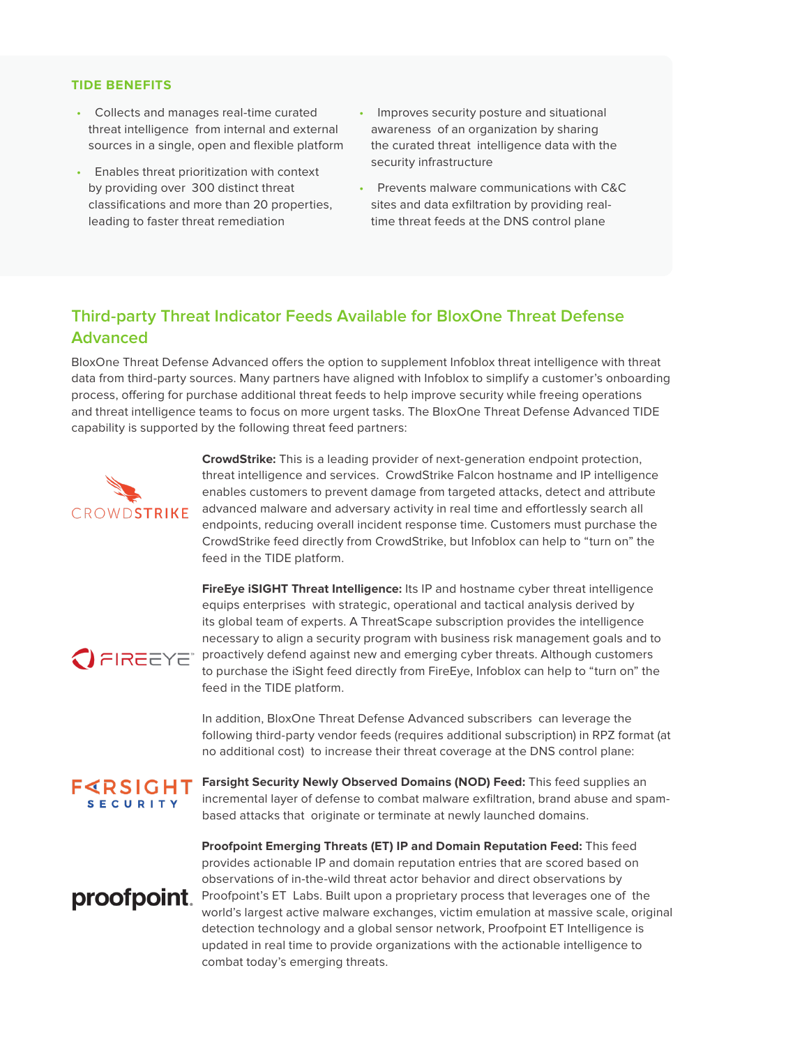#### **TIDE BENEFITS**

- Collects and manages real-time curated threat intelligence from internal and external sources in a single, open and flexible platform
- Enables threat prioritization with context by providing over 300 distinct threat classifications and more than 20 properties, leading to faster threat remediation
- Improves security posture and situational awareness of an organization by sharing the curated threat intelligence data with the security infrastructure
- Prevents malware communications with C&C sites and data exfiltration by providing realtime threat feeds at the DNS control plane

## **Third-party Threat Indicator Feeds Available for BloxOne Threat Defense Advanced**

BloxOne Threat Defense Advanced offers the option to supplement Infoblox threat intelligence with threat data from third-party sources. Many partners have aligned with Infoblox to simplify a customer's onboarding process, offering for purchase additional threat feeds to help improve security while freeing operations and threat intelligence teams to focus on more urgent tasks. The BloxOne Threat Defense Advanced TIDE capability is supported by the following threat feed partners:



**CrowdStrike:** This is a leading provider of next-generation endpoint protection, threat intelligence and services. CrowdStrike Falcon hostname and IP intelligence enables customers to prevent damage from targeted attacks, detect and attribute advanced malware and adversary activity in real time and effortlessly search all endpoints, reducing overall incident response time. Customers must purchase the CrowdStrike feed directly from CrowdStrike, but Infoblox can help to "turn on" the feed in the TIDE platform.

**FireEye iSIGHT Threat Intelligence:** Its IP and hostname cyber threat intelligence equips enterprises with strategic, operational and tactical analysis derived by its global team of experts. A ThreatScape subscription provides the intelligence necessary to align a security program with business risk management goals and to **C**<br>**PIREEYE** proactively defend against new and emerging cyber threats. Although customers to purchase the iSight feed directly from FireEye, Infoblox can help to "turn on" the feed in the TIDE platform.

> In addition, BloxOne Threat Defense Advanced subscribers can leverage the following third-party vendor feeds (requires additional subscription) in RPZ format (at no additional cost) to increase their threat coverage at the DNS control plane:

 $F < R S$ IGHT **SECURITY** 

proofpoint.

**Farsight Security Newly Observed Domains (NOD) Feed:** This feed supplies an incremental layer of defense to combat malware exfiltration, brand abuse and spambased attacks that originate or terminate at newly launched domains.

**Proofpoint Emerging Threats (ET) IP and Domain Reputation Feed:** This feed provides actionable IP and domain reputation entries that are scored based on observations of in-the-wild threat actor behavior and direct observations by Proofpoint's ET Labs. Built upon a proprietary process that leverages one of the world's largest active malware exchanges, victim emulation at massive scale, original detection technology and a global sensor network, Proofpoint ET Intelligence is updated in real time to provide organizations with the actionable intelligence to combat today's emerging threats.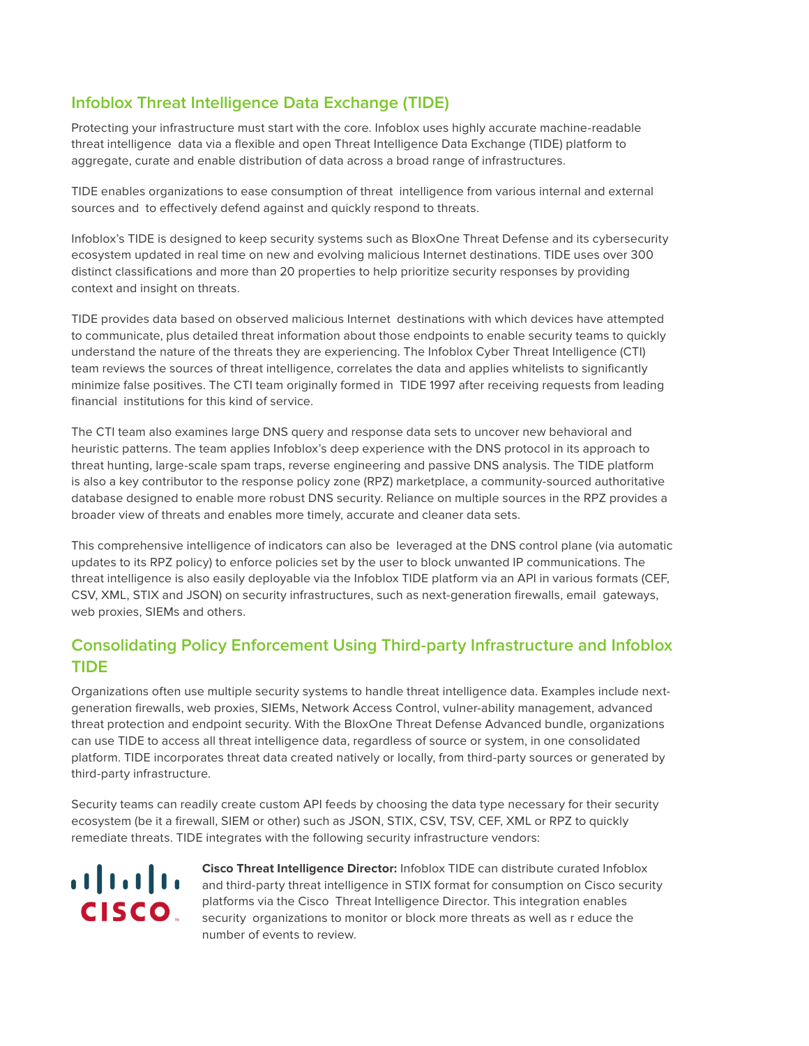# **Infoblox Threat Intelligence Data Exchange (TIDE)**

Protecting your infrastructure must start with the core. Infoblox uses highly accurate machine-readable threat intelligence data via a flexible and open Threat Intelligence Data Exchange (TIDE) platform to aggregate, curate and enable distribution of data across a broad range of infrastructures.

TIDE enables organizations to ease consumption of threat intelligence from various internal and external sources and to effectively defend against and quickly respond to threats.

Infoblox's TIDE is designed to keep security systems such as BloxOne Threat Defense and its cybersecurity ecosystem updated in real time on new and evolving malicious Internet destinations. TIDE uses over 300 distinct classifications and more than 20 properties to help prioritize security responses by providing context and insight on threats.

TIDE provides data based on observed malicious Internet destinations with which devices have attempted to communicate, plus detailed threat information about those endpoints to enable security teams to quickly understand the nature of the threats they are experiencing. The Infoblox Cyber Threat Intelligence (CTI) team reviews the sources of threat intelligence, correlates the data and applies whitelists to significantly minimize false positives. The CTI team originally formed in TIDE 1997 after receiving requests from leading financial institutions for this kind of service.

The CTI team also examines large DNS query and response data sets to uncover new behavioral and heuristic patterns. The team applies Infoblox's deep experience with the DNS protocol in its approach to threat hunting, large-scale spam traps, reverse engineering and passive DNS analysis. The TIDE platform is also a key contributor to the response policy zone (RPZ) marketplace, a community-sourced authoritative database designed to enable more robust DNS security. Reliance on multiple sources in the RPZ provides a broader view of threats and enables more timely, accurate and cleaner data sets.

This comprehensive intelligence of indicators can also be leveraged at the DNS control plane (via automatic updates to its RPZ policy) to enforce policies set by the user to block unwanted IP communications. The threat intelligence is also easily deployable via the Infoblox TIDE platform via an API in various formats (CEF, CSV, XML, STIX and JSON) on security infrastructures, such as next-generation firewalls, email gateways, web proxies, SIEMs and others.

## **Consolidating Policy Enforcement Using Third-party Infrastructure and Infoblox TIDE**

Organizations often use multiple security systems to handle threat intelligence data. Examples include nextgeneration firewalls, web proxies, SIEMs, Network Access Control, vulner-ability management, advanced threat protection and endpoint security. With the BloxOne Threat Defense Advanced bundle, organizations can use TIDE to access all threat intelligence data, regardless of source or system, in one consolidated platform. TIDE incorporates threat data created natively or locally, from third-party sources or generated by third-party infrastructure.

Security teams can readily create custom API feeds by choosing the data type necessary for their security ecosystem (be it a firewall, SIEM or other) such as JSON, STIX, CSV, TSV, CEF, XML or RPZ to quickly remediate threats. TIDE integrates with the following security infrastructure vendors:



**Cisco Threat Intelligence Director:** Infoblox TIDE can distribute curated Infoblox and third-party threat intelligence in STIX format for consumption on Cisco security platforms via the Cisco Threat Intelligence Director. This integration enables security organizations to monitor or block more threats as well as r educe the number of events to review.